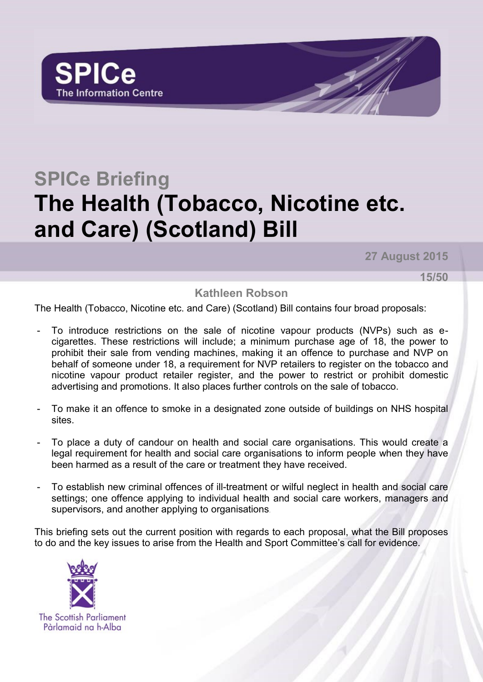

# **SPICe Briefing The Health (Tobacco, Nicotine etc. and Care) (Scotland) Bill**

**27 August 2015**

**15/50**

# **Kathleen Robson**

The Health (Tobacco, Nicotine etc. and Care) (Scotland) Bill contains four broad proposals:

- To introduce restrictions on the sale of nicotine vapour products (NVPs) such as ecigarettes. These restrictions will include; a minimum purchase age of 18, the power to prohibit their sale from vending machines, making it an offence to purchase and NVP on behalf of someone under 18, a requirement for NVP retailers to register on the tobacco and nicotine vapour product retailer register, and the power to restrict or prohibit domestic advertising and promotions. It also places further controls on the sale of tobacco.
- To make it an offence to smoke in a designated zone outside of buildings on NHS hospital sites.
- To place a duty of candour on health and social care organisations. This would create a legal requirement for health and social care organisations to inform people when they have been harmed as a result of the care or treatment they have received.
- To establish new criminal offences of ill-treatment or wilful neglect in health and social care settings; one offence applying to individual health and social care workers, managers and supervisors, and another applying to organisations.

This briefing sets out the current position with regards to each proposal, what the Bill proposes to do and the key issues to arise from the Health and Sport Committee's call for evidence.

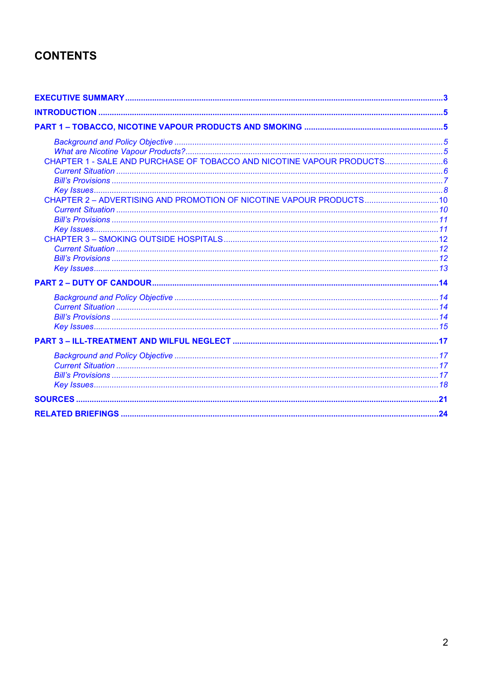# **CONTENTS**

| CHAPTER 1 - SALE AND PURCHASE OF TOBACCO AND NICOTINE VAPOUR PRODUCTS |
|-----------------------------------------------------------------------|
|                                                                       |
|                                                                       |
|                                                                       |
| CHAPTER 2 - ADVERTISING AND PROMOTION OF NICOTINE VAPOUR PRODUCTS 10  |
|                                                                       |
|                                                                       |
|                                                                       |
|                                                                       |
|                                                                       |
|                                                                       |
|                                                                       |
|                                                                       |
|                                                                       |
|                                                                       |
|                                                                       |
|                                                                       |
|                                                                       |
|                                                                       |
|                                                                       |
|                                                                       |
|                                                                       |
|                                                                       |
|                                                                       |
|                                                                       |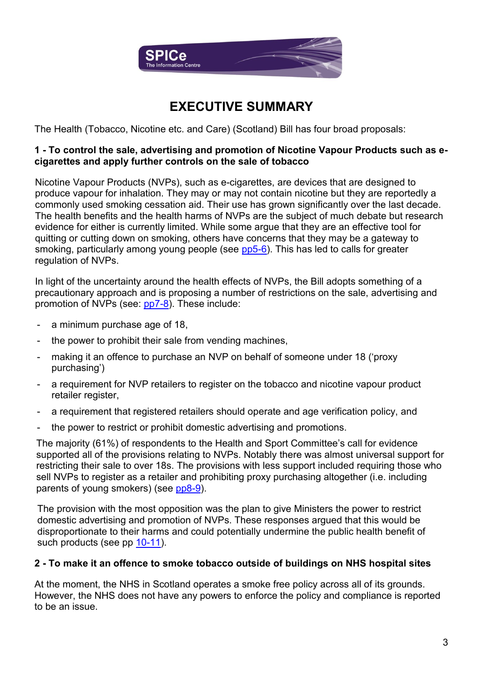

# **EXECUTIVE SUMMARY**

<span id="page-2-0"></span>The Health (Tobacco, Nicotine etc. and Care) (Scotland) Bill has four broad proposals:

#### **1 - To control the sale, advertising and promotion of Nicotine Vapour Products such as ecigarettes and apply further controls on the sale of tobacco**

Nicotine Vapour Products (NVPs), such as e-cigarettes, are devices that are designed to produce vapour for inhalation. They may or may not contain nicotine but they are reportedly a commonly used smoking cessation aid. Their use has grown significantly over the last decade. The health benefits and the health harms of NVPs are the subject of much debate but research evidence for either is currently limited. While some argue that they are an effective tool for quitting or cutting down on smoking, others have concerns that they may be a gateway to smoking, particularly among young people (see [pp5-6\)](#page-5-2). This has led to calls for greater regulation of NVPs.

In light of the uncertainty around the health effects of NVPs, the Bill adopts something of a precautionary approach and is proposing a number of restrictions on the sale, advertising and promotion of NVPs (see: [pp7-8\)](#page-6-0). These include:

- a minimum purchase age of 18,
- the power to prohibit their sale from vending machines,
- making it an offence to purchase an NVP on behalf of someone under 18 ('proxy purchasing')
- a requirement for NVP retailers to register on the tobacco and nicotine vapour product retailer register,
- a requirement that registered retailers should operate and age verification policy, and
- the power to restrict or prohibit domestic advertising and promotions.

The majority (61%) of respondents to the Health and Sport Committee's call for evidence supported all of the provisions relating to NVPs. Notably there was almost universal support for restricting their sale to over 18s. The provisions with less support included requiring those who sell NVPs to register as a retailer and prohibiting proxy purchasing altogether (i.e. including parents of young smokers) (see [pp8-9\)](#page-7-0).

The provision with the most opposition was the plan to give Ministers the power to restrict domestic advertising and promotion of NVPs. These responses argued that this would be disproportionate to their harms and could potentially undermine the public health benefit of such products (see pp [10-11\)](#page-10-1).

#### **2 - To make it an offence to smoke tobacco outside of buildings on NHS hospital sites**

At the moment, the NHS in Scotland operates a smoke free policy across all of its grounds. However, the NHS does not have any powers to enforce the policy and compliance is reported to be an issue.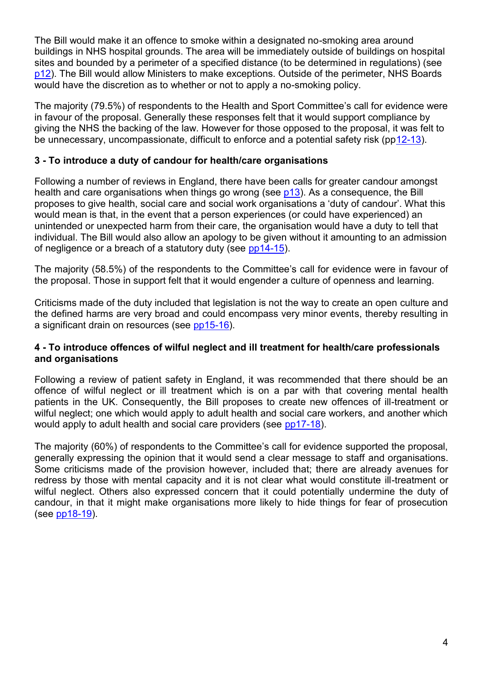The Bill would make it an offence to smoke within a designated no-smoking area around buildings in NHS hospital grounds. The area will be immediately outside of buildings on hospital sites and bounded by a perimeter of a specified distance (to be determined in regulations) (see [p12\)](#page-11-1). The Bill would allow Ministers to make exceptions. Outside of the perimeter, NHS Boards would have the discretion as to whether or not to apply a no-smoking policy.

The majority (79.5%) of respondents to the Health and Sport Committee's call for evidence were in favour of the proposal. Generally these responses felt that it would support compliance by giving the NHS the backing of the law. However for those opposed to the proposal, it was felt to be unnecessary, uncompassionate, difficult to enforce and a potential safety risk (p[p12-13\)](#page-12-0).

#### **3 - To introduce a duty of candour for health/care organisations**

Following a number of reviews in England, there have been calls for greater candour amongst health and care organisations when things go wrong (see [p13\)](#page-13-1). As a consequence, the Bill proposes to give health, social care and social work organisations a 'duty of candour'. What this would mean is that, in the event that a person experiences (or could have experienced) an unintended or unexpected harm from their care, the organisation would have a duty to tell that individual. The Bill would also allow an apology to be given without it amounting to an admission of negligence or a breach of a statutory duty (see [pp14-15\)](#page-13-3).

The majority (58.5%) of the respondents to the Committee's call for evidence were in favour of the proposal. Those in support felt that it would engender a culture of openness and learning.

Criticisms made of the duty included that legislation is not the way to create an open culture and the defined harms are very broad and could encompass very minor events, thereby resulting in a significant drain on resources (see [pp15-16\)](#page-14-0).

#### **4 - To introduce offences of wilful neglect and ill treatment for health/care professionals and organisations**

Following a review of patient safety in England, it was recommended that there should be an offence of wilful neglect or ill treatment which is on a par with that covering mental health patients in the UK. Consequently, the Bill proposes to create new offences of ill-treatment or wilful neglect; one which would apply to adult health and social care workers, and another which would apply to adult health and social care providers (see [pp17-18\)](#page-16-3).

The majority (60%) of respondents to the Committee's call for evidence supported the proposal, generally expressing the opinion that it would send a clear message to staff and organisations. Some criticisms made of the provision however, included that; there are already avenues for redress by those with mental capacity and it is not clear what would constitute ill-treatment or wilful neglect. Others also expressed concern that it could potentially undermine the duty of candour, in that it might make organisations more likely to hide things for fear of prosecution (see [pp18-19\)](#page-17-0).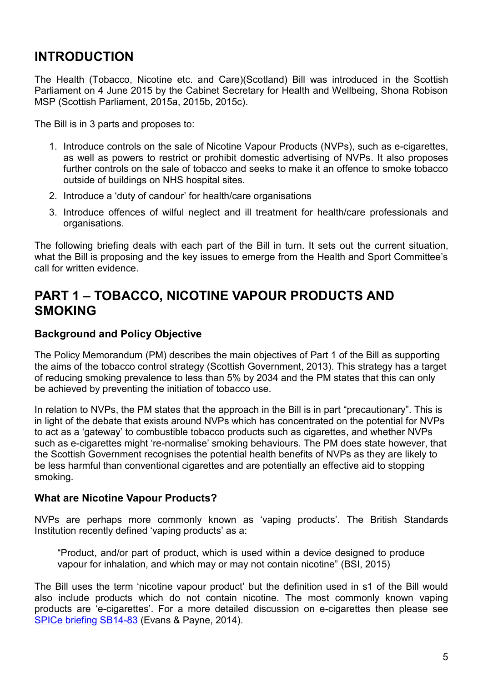# <span id="page-4-0"></span>**INTRODUCTION**

The Health (Tobacco, Nicotine etc. and Care)(Scotland) Bill was introduced in the Scottish Parliament on 4 June 2015 by the Cabinet Secretary for Health and Wellbeing, Shona Robison MSP (Scottish Parliament, 2015a, 2015b, 2015c).

The Bill is in 3 parts and proposes to:

- 1. Introduce controls on the sale of Nicotine Vapour Products (NVPs), such as e-cigarettes, as well as powers to restrict or prohibit domestic advertising of NVPs. It also proposes further controls on the sale of tobacco and seeks to make it an offence to smoke tobacco outside of buildings on NHS hospital sites.
- 2. Introduce a 'duty of candour' for health/care organisations
- 3. Introduce offences of wilful neglect and ill treatment for health/care professionals and organisations.

The following briefing deals with each part of the Bill in turn. It sets out the current situation, what the Bill is proposing and the key issues to emerge from the Health and Sport Committee's call for written evidence.

# <span id="page-4-1"></span>**PART 1 – TOBACCO, NICOTINE VAPOUR PRODUCTS AND SMOKING**

# <span id="page-4-2"></span>**Background and Policy Objective**

The Policy Memorandum (PM) describes the main objectives of Part 1 of the Bill as supporting the aims of the tobacco control strategy (Scottish Government, 2013). This strategy has a target of reducing smoking prevalence to less than 5% by 2034 and the PM states that this can only be achieved by preventing the initiation of tobacco use.

In relation to NVPs, the PM states that the approach in the Bill is in part "precautionary". This is in light of the debate that exists around NVPs which has concentrated on the potential for NVPs to act as a 'gateway' to combustible tobacco products such as cigarettes, and whether NVPs such as e-cigarettes might 're-normalise' smoking behaviours. The PM does state however, that the Scottish Government recognises the potential health benefits of NVPs as they are likely to be less harmful than conventional cigarettes and are potentially an effective aid to stopping smoking.

# <span id="page-4-3"></span>**What are Nicotine Vapour Products?**

NVPs are perhaps more commonly known as 'vaping products'. The British Standards Institution recently defined 'vaping products' as a:

"Product, and/or part of product, which is used within a device designed to produce vapour for inhalation, and which may or may not contain nicotine" (BSI, 2015)

The Bill uses the term 'nicotine vapour product' but the definition used in s1 of the Bill would also include products which do not contain nicotine. The most commonly known vaping products are 'e-cigarettes'. For a more detailed discussion on e-cigarettes then please see [SPICe briefing SB14-83](http://www.scottish.parliament.uk/parliamentarybusiness/83714.aspx) (Evans & Payne, 2014).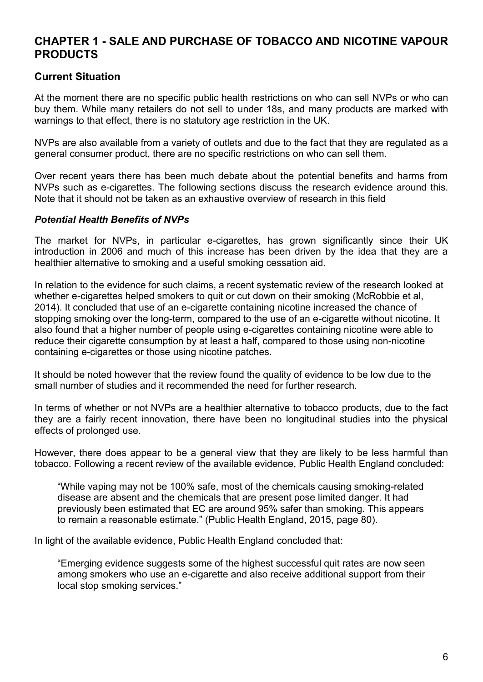# <span id="page-5-0"></span>**CHAPTER 1 - SALE AND PURCHASE OF TOBACCO AND NICOTINE VAPOUR PRODUCTS**

## <span id="page-5-1"></span>**Current Situation**

At the moment there are no specific public health restrictions on who can sell NVPs or who can buy them. While many retailers do not sell to under 18s, and many products are marked with warnings to that effect, there is no statutory age restriction in the UK.

NVPs are also available from a variety of outlets and due to the fact that they are regulated as a general consumer product, there are no specific restrictions on who can sell them.

Over recent years there has been much debate about the potential benefits and harms from NVPs such as e-cigarettes. The following sections discuss the research evidence around this. Note that it should not be taken as an exhaustive overview of research in this field

#### <span id="page-5-2"></span>*Potential Health Benefits of NVPs*

The market for NVPs, in particular e-cigarettes, has grown significantly since their UK introduction in 2006 and much of this increase has been driven by the idea that they are a healthier alternative to smoking and a useful smoking cessation aid.

In relation to the evidence for such claims, a recent systematic review of the research looked at whether e-cigarettes helped smokers to quit or cut down on their smoking (McRobbie et al, 2014). It concluded that use of an e-cigarette containing nicotine increased the chance of stopping smoking over the long-term, compared to the use of an e-cigarette without nicotine. It also found that a higher number of people using e-cigarettes containing nicotine were able to reduce their cigarette consumption by at least a half, compared to those using non-nicotine containing e-cigarettes or those using nicotine patches.

It should be noted however that the review found the quality of evidence to be low due to the small number of studies and it recommended the need for further research.

In terms of whether or not NVPs are a healthier alternative to tobacco products, due to the fact they are a fairly recent innovation, there have been no longitudinal studies into the physical effects of prolonged use.

However, there does appear to be a general view that they are likely to be less harmful than tobacco. Following a recent review of the available evidence, Public Health England concluded:

"While vaping may not be 100% safe, most of the chemicals causing smoking-related disease are absent and the chemicals that are present pose limited danger. It had previously been estimated that EC are around 95% safer than smoking. This appears to remain a reasonable estimate." (Public Health England, 2015, page 80).

In light of the available evidence, Public Health England concluded that:

"Emerging evidence suggests some of the highest successful quit rates are now seen among smokers who use an e-cigarette and also receive additional support from their local stop smoking services."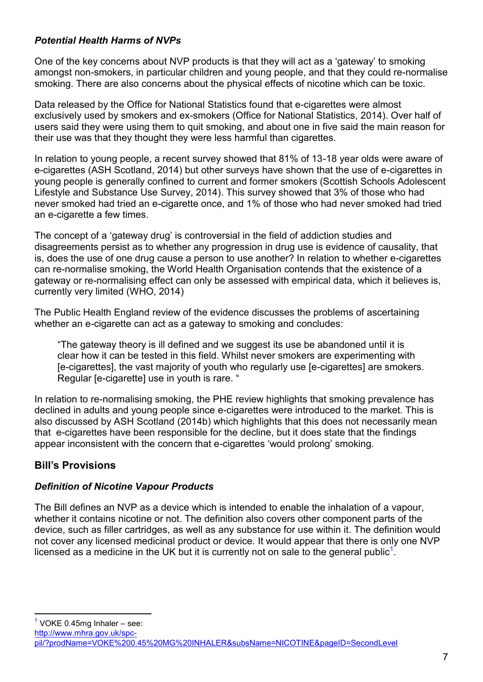## *Potential Health Harms of NVPs*

One of the key concerns about NVP products is that they will act as a 'gateway' to smoking amongst non-smokers, in particular children and young people, and that they could re-normalise smoking. There are also concerns about the physical effects of nicotine which can be toxic.

Data released by the Office for National Statistics found that e-cigarettes were almost exclusively used by smokers and ex-smokers (Office for National Statistics, 2014). Over half of users said they were using them to quit smoking, and about one in five said the main reason for their use was that they thought they were less harmful than cigarettes.

In relation to young people, a recent survey showed that 81% of 13-18 year olds were aware of e-cigarettes (ASH Scotland, 2014) but other surveys have shown that the use of e-cigarettes in young people is generally confined to current and former smokers (Scottish Schools Adolescent Lifestyle and Substance Use Survey, 2014). This survey showed that 3% of those who had never smoked had tried an e-cigarette once, and 1% of those who had never smoked had tried an e-cigarette a few times.

The concept of a 'gateway drug' is controversial in the field of addiction studies and disagreements persist as to whether any progression in drug use is evidence of causality, that is, does the use of one drug cause a person to use another? In relation to whether e-cigarettes can re-normalise smoking, the World Health Organisation contends that the existence of a gateway or re-normalising effect can only be assessed with empirical data, which it believes is, currently very limited (WHO, 2014)

The Public Health England review of the evidence discusses the problems of ascertaining whether an e-cigarette can act as a gateway to smoking and concludes:

"The gateway theory is ill defined and we suggest its use be abandoned until it is clear how it can be tested in this field. Whilst never smokers are experimenting with [e-cigarettes], the vast majority of youth who regularly use [e-cigarettes] are smokers. Regular [e-cigarette] use in youth is rare. "

In relation to re-normalising smoking, the PHE review highlights that smoking prevalence has declined in adults and young people since e-cigarettes were introduced to the market. This is also discussed by ASH Scotland (2014b) which highlights that this does not necessarily mean that e-cigarettes have been responsible for the decline, but it does state that the findings appear inconsistent with the concern that e-cigarettes 'would prolong' smoking.

# <span id="page-6-0"></span>**Bill's Provisions**

 $\overline{a}$ 

#### *Definition of Nicotine Vapour Products*

The Bill defines an NVP as a device which is intended to enable the inhalation of a vapour, whether it contains nicotine or not. The definition also covers other component parts of the device, such as filler cartridges, as well as any substance for use within it. The definition would not cover any licensed medicinal product or device. It would appear that there is only one NVP licensed as a medicine in the UK but it is currently not on sale to the general public<sup>1</sup>.

 $1$  VOKE 0.45mg Inhaler - see: [http://www.mhra.gov.uk/spc](http://www.mhra.gov.uk/spc-pil/?prodName=VOKE%200.45%20MG%20INHALER&subsName=NICOTINE&pageID=SecondLevel)[pil/?prodName=VOKE%200.45%20MG%20INHALER&subsName=NICOTINE&pageID=SecondLevel](http://www.mhra.gov.uk/spc-pil/?prodName=VOKE%200.45%20MG%20INHALER&subsName=NICOTINE&pageID=SecondLevel)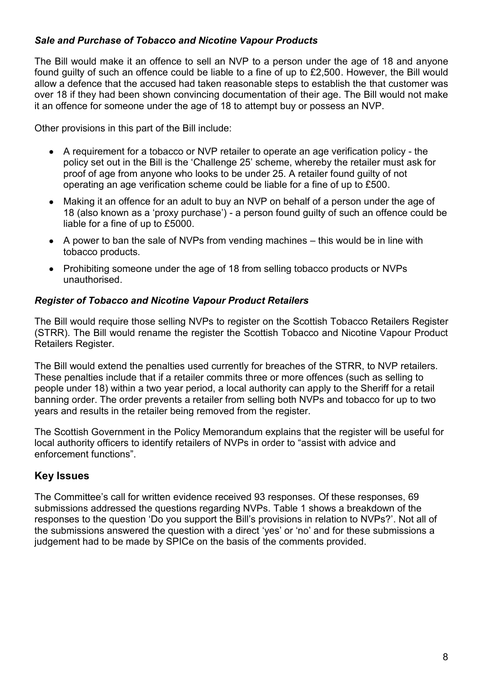## *Sale and Purchase of Tobacco and Nicotine Vapour Products*

The Bill would make it an offence to sell an NVP to a person under the age of 18 and anyone found guilty of such an offence could be liable to a fine of up to £2,500. However, the Bill would allow a defence that the accused had taken reasonable steps to establish the that customer was over 18 if they had been shown convincing documentation of their age. The Bill would not make it an offence for someone under the age of 18 to attempt buy or possess an NVP.

Other provisions in this part of the Bill include:

- A requirement for a tobacco or NVP retailer to operate an age verification policy the policy set out in the Bill is the 'Challenge 25' scheme, whereby the retailer must ask for proof of age from anyone who looks to be under 25. A retailer found guilty of not operating an age verification scheme could be liable for a fine of up to £500.
- Making it an offence for an adult to buy an NVP on behalf of a person under the age of 18 (also known as a 'proxy purchase') - a person found guilty of such an offence could be liable for a fine of up to £5000.
- A power to ban the sale of NVPs from vending machines this would be in line with tobacco products.
- Prohibiting someone under the age of 18 from selling tobacco products or NVPs unauthorised.

## *Register of Tobacco and Nicotine Vapour Product Retailers*

The Bill would require those selling NVPs to register on the Scottish Tobacco Retailers Register (STRR). The Bill would rename the register the Scottish Tobacco and Nicotine Vapour Product Retailers Register.

The Bill would extend the penalties used currently for breaches of the STRR, to NVP retailers. These penalties include that if a retailer commits three or more offences (such as selling to people under 18) within a two year period, a local authority can apply to the Sheriff for a retail banning order. The order prevents a retailer from selling both NVPs and tobacco for up to two years and results in the retailer being removed from the register.

The Scottish Government in the Policy Memorandum explains that the register will be useful for local authority officers to identify retailers of NVPs in order to "assist with advice and enforcement functions".

# <span id="page-7-0"></span>**Key Issues**

The Committee's call for written evidence received 93 responses. Of these responses, 69 submissions addressed the questions regarding NVPs. Table 1 shows a breakdown of the responses to the question 'Do you support the Bill's provisions in relation to NVPs?'. Not all of the submissions answered the question with a direct 'yes' or 'no' and for these submissions a judgement had to be made by SPICe on the basis of the comments provided.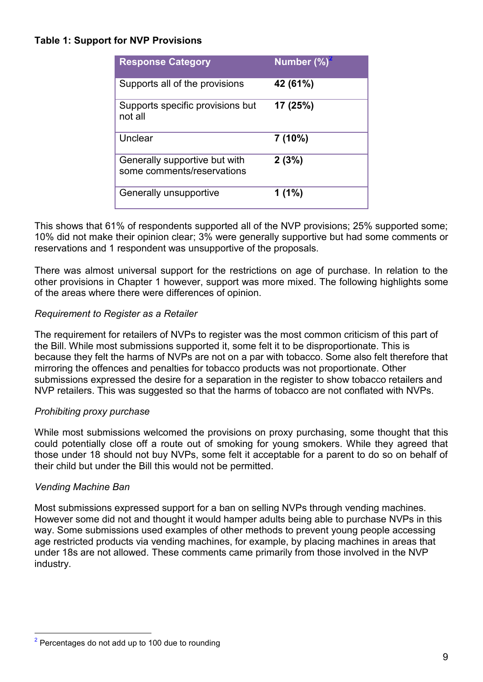#### **Table 1: Support for NVP Provisions**

| <b>Response Category</b>                                    | Number (%) <sup>2</sup> |
|-------------------------------------------------------------|-------------------------|
| Supports all of the provisions                              | 42 (61%)                |
| Supports specific provisions but<br>not all                 | 17 (25%)                |
| Unclear                                                     | 7(10%)                  |
| Generally supportive but with<br>some comments/reservations | 2(3%)                   |
| Generally unsupportive                                      | $1(1\%)$                |

This shows that 61% of respondents supported all of the NVP provisions; 25% supported some; 10% did not make their opinion clear; 3% were generally supportive but had some comments or reservations and 1 respondent was unsupportive of the proposals.

There was almost universal support for the restrictions on age of purchase. In relation to the other provisions in Chapter 1 however, support was more mixed. The following highlights some of the areas where there were differences of opinion.

#### *Requirement to Register as a Retailer*

The requirement for retailers of NVPs to register was the most common criticism of this part of the Bill. While most submissions supported it, some felt it to be disproportionate. This is because they felt the harms of NVPs are not on a par with tobacco. Some also felt therefore that mirroring the offences and penalties for tobacco products was not proportionate. Other submissions expressed the desire for a separation in the register to show tobacco retailers and NVP retailers. This was suggested so that the harms of tobacco are not conflated with NVPs.

#### *Prohibiting proxy purchase*

While most submissions welcomed the provisions on proxy purchasing, some thought that this could potentially close off a route out of smoking for young smokers. While they agreed that those under 18 should not buy NVPs, some felt it acceptable for a parent to do so on behalf of their child but under the Bill this would not be permitted.

#### *Vending Machine Ban*

 $\overline{a}$ 

Most submissions expressed support for a ban on selling NVPs through vending machines. However some did not and thought it would hamper adults being able to purchase NVPs in this way. Some submissions used examples of other methods to prevent young people accessing age restricted products via vending machines, for example, by placing machines in areas that under 18s are not allowed. These comments came primarily from those involved in the NVP industry.

 $2$  Percentages do not add up to 100 due to rounding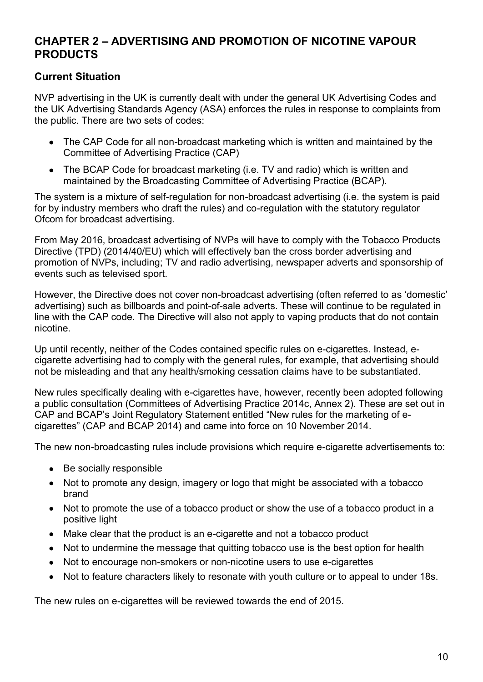# <span id="page-9-0"></span>**CHAPTER 2 – ADVERTISING AND PROMOTION OF NICOTINE VAPOUR PRODUCTS**

# <span id="page-9-1"></span>**Current Situation**

NVP advertising in the UK is currently dealt with under the general UK Advertising Codes and the UK Advertising Standards Agency (ASA) enforces the rules in response to complaints from the public. There are two sets of codes:

- The CAP Code for all non-broadcast marketing which is written and maintained by the Committee of Advertising Practice (CAP)
- The BCAP Code for broadcast marketing (i.e. TV and radio) which is written and maintained by the Broadcasting Committee of Advertising Practice (BCAP).

The system is a mixture of self-regulation for non-broadcast advertising (i.e. the system is paid for by industry members who draft the rules) and co-regulation with the statutory regulator Ofcom for broadcast advertising.

From May 2016, broadcast advertising of NVPs will have to comply with the Tobacco Products Directive (TPD) (2014/40/EU) which will effectively ban the cross border advertising and promotion of NVPs, including; TV and radio advertising, newspaper adverts and sponsorship of events such as televised sport.

However, the Directive does not cover non-broadcast advertising (often referred to as 'domestic' advertising) such as billboards and point-of-sale adverts. These will continue to be regulated in line with the CAP code. The Directive will also not apply to vaping products that do not contain nicotine.

Up until recently, neither of the Codes contained specific rules on e-cigarettes. Instead, ecigarette advertising had to comply with the general rules, for example, that advertising should not be misleading and that any health/smoking cessation claims have to be substantiated.

New rules specifically dealing with e-cigarettes have, however, recently been adopted following a public consultation (Committees of Advertising Practice 2014c, Annex 2). These are set out in CAP and BCAP's Joint Regulatory Statement entitled "New rules for the marketing of ecigarettes" (CAP and BCAP 2014) and came into force on 10 November 2014.

The new non-broadcasting rules include provisions which require e-cigarette advertisements to:

- Be socially responsible
- Not to promote any design, imagery or logo that might be associated with a tobacco brand
- Not to promote the use of a tobacco product or show the use of a tobacco product in a positive light
- Make clear that the product is an e-cigarette and not a tobacco product
- Not to undermine the message that quitting tobacco use is the best option for health
- Not to encourage non-smokers or non-nicotine users to use e-cigarettes
- Not to feature characters likely to resonate with youth culture or to appeal to under 18s.

The new rules on e-cigarettes will be reviewed towards the end of 2015.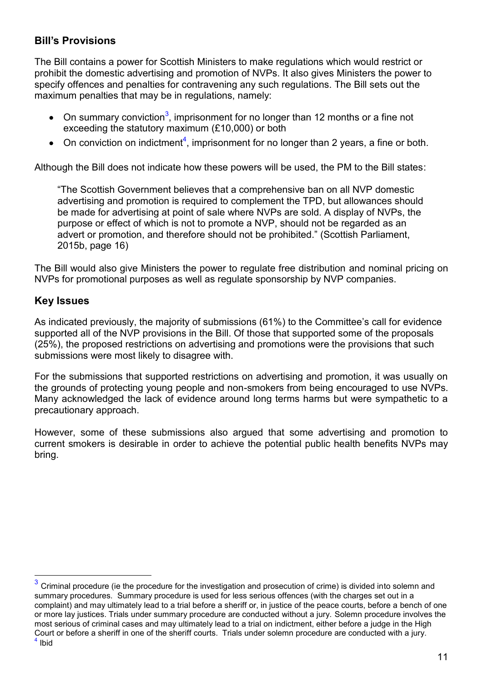# <span id="page-10-0"></span>**Bill's Provisions**

The Bill contains a power for Scottish Ministers to make regulations which would restrict or prohibit the domestic advertising and promotion of NVPs. It also gives Ministers the power to specify offences and penalties for contravening any such regulations. The Bill sets out the maximum penalties that may be in regulations, namely:

- On summary conviction<sup>3</sup>, imprisonment for no longer than 12 months or a fine not exceeding the statutory maximum (£10,000) or both
- $\bullet$  On conviction on indictment<sup>4</sup>, imprisonment for no longer than 2 years, a fine or both.

Although the Bill does not indicate how these powers will be used, the PM to the Bill states:

"The Scottish Government believes that a comprehensive ban on all NVP domestic advertising and promotion is required to complement the TPD, but allowances should be made for advertising at point of sale where NVPs are sold. A display of NVPs, the purpose or effect of which is not to promote a NVP, should not be regarded as an advert or promotion, and therefore should not be prohibited." (Scottish Parliament, 2015b, page 16)

The Bill would also give Ministers the power to regulate free distribution and nominal pricing on NVPs for promotional purposes as well as regulate sponsorship by NVP companies.

# <span id="page-10-1"></span>**Key Issues**

l

As indicated previously, the majority of submissions (61%) to the Committee's call for evidence supported all of the NVP provisions in the Bill. Of those that supported some of the proposals (25%), the proposed restrictions on advertising and promotions were the provisions that such submissions were most likely to disagree with.

For the submissions that supported restrictions on advertising and promotion, it was usually on the grounds of protecting young people and non-smokers from being encouraged to use NVPs. Many acknowledged the lack of evidence around long terms harms but were sympathetic to a precautionary approach.

However, some of these submissions also argued that some advertising and promotion to current smokers is desirable in order to achieve the potential public health benefits NVPs may bring.

<sup>3</sup> Criminal procedure (ie the procedure for the investigation and prosecution of crime) is divided into solemn and summary procedures. Summary procedure is used for less serious offences (with the charges set out in a complaint) and may ultimately lead to a trial before a sheriff or, in justice of the peace courts, before a bench of one or more lay justices. Trials under summary procedure are conducted without a jury. Solemn procedure involves the most serious of criminal cases and may ultimately lead to a trial on indictment, either before a judge in the High Court or before a sheriff in one of the sheriff courts. Trials under solemn procedure are conducted with a jury. 4 Ibid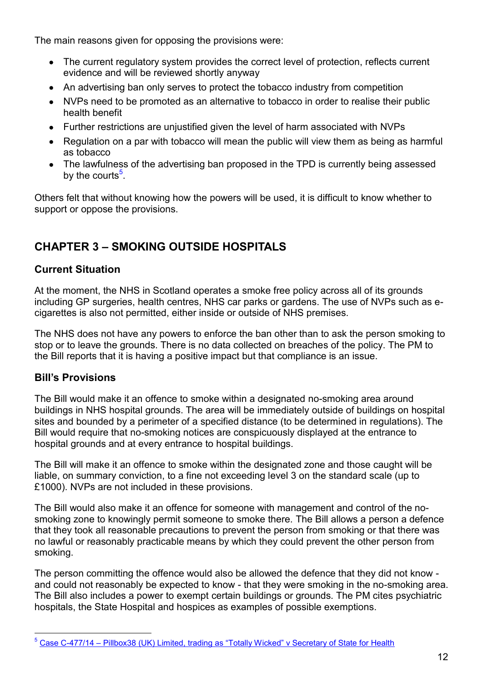The main reasons given for opposing the provisions were:

- The current regulatory system provides the correct level of protection, reflects current evidence and will be reviewed shortly anyway
- An advertising ban only serves to protect the tobacco industry from competition
- NVPs need to be promoted as an alternative to tobacco in order to realise their public health benefit
- Further restrictions are unjustified given the level of harm associated with NVPs
- Regulation on a par with tobacco will mean the public will view them as being as harmful as tobacco
- The lawfulness of the advertising ban proposed in the TPD is currently being assessed by the courts<sup>5</sup>.

Others felt that without knowing how the powers will be used, it is difficult to know whether to support or oppose the provisions.

# <span id="page-11-0"></span>**CHAPTER 3 – SMOKING OUTSIDE HOSPITALS**

# <span id="page-11-1"></span>**Current Situation**

At the moment, the NHS in Scotland operates a smoke free policy across all of its grounds including GP surgeries, health centres, NHS car parks or gardens. The use of NVPs such as ecigarettes is also not permitted, either inside or outside of NHS premises.

The NHS does not have any powers to enforce the ban other than to ask the person smoking to stop or to leave the grounds. There is no data collected on breaches of the policy. The PM to the Bill reports that it is having a positive impact but that compliance is an issue.

# <span id="page-11-2"></span>**Bill's Provisions**

 $\overline{a}$ 

The Bill would make it an offence to smoke within a designated no-smoking area around buildings in NHS hospital grounds. The area will be immediately outside of buildings on hospital sites and bounded by a perimeter of a specified distance (to be determined in regulations). The Bill would require that no-smoking notices are conspicuously displayed at the entrance to hospital grounds and at every entrance to hospital buildings.

The Bill will make it an offence to smoke within the designated zone and those caught will be liable, on summary conviction, to a fine not exceeding level 3 on the standard scale (up to £1000). NVPs are not included in these provisions.

The Bill would also make it an offence for someone with management and control of the nosmoking zone to knowingly permit someone to smoke there. The Bill allows a person a defence that they took all reasonable precautions to prevent the person from smoking or that there was no lawful or reasonably practicable means by which they could prevent the other person from smoking.

The person committing the offence would also be allowed the defence that they did not know and could not reasonably be expected to know - that they were smoking in the no-smoking area. The Bill also includes a power to exempt certain buildings or grounds. The PM cites psychiatric hospitals, the State Hospital and hospices as examples of possible exemptions.

<sup>5</sup> Case C-477/14 – [Pillbox38 \(UK\) Limited, trading as "Totally Wicked" v Secretary of State for Health](http://curia.europa.eu/juris/document/document.jsf;jsessionid=9ea7d2dc30dd14e7a83b2d5245c1917bd1ffaf423aea.e34KaxiLc3qMb40Rch0SaxuPa3r0?text=&docid=160608&pageIndex=0&doclang=EN&mode=req&dir=&occ=first&part=1&cid=8825)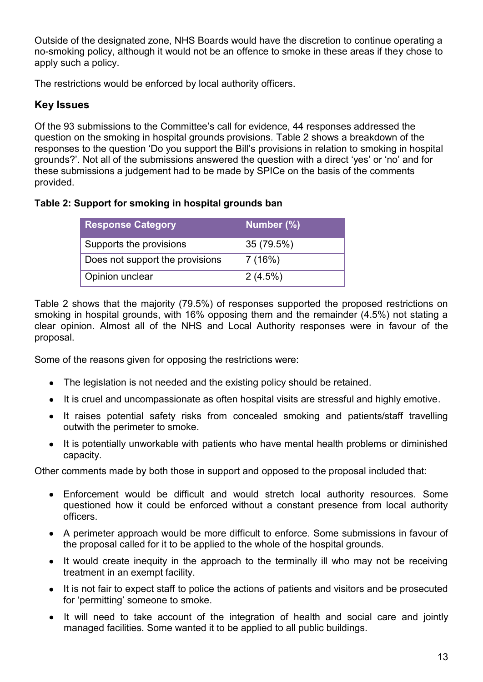Outside of the designated zone, NHS Boards would have the discretion to continue operating a no-smoking policy, although it would not be an offence to smoke in these areas if they chose to apply such a policy.

The restrictions would be enforced by local authority officers.

# <span id="page-12-0"></span>**Key Issues**

Of the 93 submissions to the Committee's call for evidence, 44 responses addressed the question on the smoking in hospital grounds provisions. Table 2 shows a breakdown of the responses to the question 'Do you support the Bill's provisions in relation to smoking in hospital grounds?'. Not all of the submissions answered the question with a direct 'yes' or 'no' and for these submissions a judgement had to be made by SPICe on the basis of the comments provided.

## **Table 2: Support for smoking in hospital grounds ban**

| <b>Response Category</b>        | Number (%) |
|---------------------------------|------------|
| Supports the provisions         | 35 (79.5%) |
| Does not support the provisions | 7(16%)     |
| Opinion unclear                 | 2(4.5%)    |

Table 2 shows that the majority (79.5%) of responses supported the proposed restrictions on smoking in hospital grounds, with 16% opposing them and the remainder (4.5%) not stating a clear opinion. Almost all of the NHS and Local Authority responses were in favour of the proposal.

Some of the reasons given for opposing the restrictions were:

- The legislation is not needed and the existing policy should be retained.
- It is cruel and uncompassionate as often hospital visits are stressful and highly emotive.
- It raises potential safety risks from concealed smoking and patients/staff travelling outwith the perimeter to smoke.
- It is potentially unworkable with patients who have mental health problems or diminished capacity.

Other comments made by both those in support and opposed to the proposal included that:

- Enforcement would be difficult and would stretch local authority resources. Some questioned how it could be enforced without a constant presence from local authority officers.
- A perimeter approach would be more difficult to enforce. Some submissions in favour of the proposal called for it to be applied to the whole of the hospital grounds.
- It would create inequity in the approach to the terminally ill who may not be receiving treatment in an exempt facility.
- It is not fair to expect staff to police the actions of patients and visitors and be prosecuted for 'permitting' someone to smoke.
- It will need to take account of the integration of health and social care and jointly managed facilities. Some wanted it to be applied to all public buildings.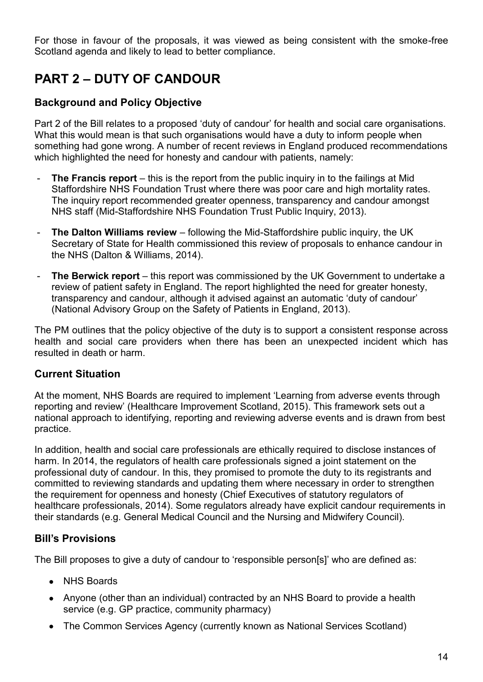For those in favour of the proposals, it was viewed as being consistent with the smoke-free Scotland agenda and likely to lead to better compliance.

# <span id="page-13-0"></span>**PART 2 – DUTY OF CANDOUR**

# <span id="page-13-1"></span>**Background and Policy Objective**

Part 2 of the Bill relates to a proposed 'duty of candour' for health and social care organisations. What this would mean is that such organisations would have a duty to inform people when something had gone wrong. A number of recent reviews in England produced recommendations which highlighted the need for honesty and candour with patients, namely:

- **The Francis report** this is the report from the public inquiry in to the failings at Mid Staffordshire NHS Foundation Trust where there was poor care and high mortality rates. The inquiry report recommended greater openness, transparency and candour amongst NHS staff (Mid-Staffordshire NHS Foundation Trust Public Inquiry, 2013).
- **The Dalton Williams review** following the Mid-Staffordshire public inquiry, the UK Secretary of State for Health commissioned this review of proposals to enhance candour in the NHS (Dalton & Williams, 2014).
- **The Berwick report**  this report was commissioned by the UK Government to undertake a review of patient safety in England. The report highlighted the need for greater honesty, transparency and candour, although it advised against an automatic 'duty of candour' (National Advisory Group on the Safety of Patients in England, 2013).

The PM outlines that the policy objective of the duty is to support a consistent response across health and social care providers when there has been an unexpected incident which has resulted in death or harm.

# <span id="page-13-2"></span>**Current Situation**

At the moment, NHS Boards are required to implement 'Learning from adverse events through reporting and review' (Healthcare Improvement Scotland, 2015). This framework sets out a national approach to identifying, reporting and reviewing adverse events and is drawn from best practice.

In addition, health and social care professionals are ethically required to disclose instances of harm. In 2014, the regulators of health care professionals signed a joint statement on the professional duty of candour. In this, they promised to promote the duty to its registrants and committed to reviewing standards and updating them where necessary in order to strengthen the requirement for openness and honesty (Chief Executives of statutory regulators of healthcare professionals, 2014). Some regulators already have explicit candour requirements in their standards (e.g. General Medical Council and the Nursing and Midwifery Council).

# <span id="page-13-3"></span>**Bill's Provisions**

The Bill proposes to give a duty of candour to 'responsible person[s]' who are defined as:

- NHS Boards
- Anyone (other than an individual) contracted by an NHS Board to provide a health service (e.g. GP practice, community pharmacy)
- The Common Services Agency (currently known as National Services Scotland)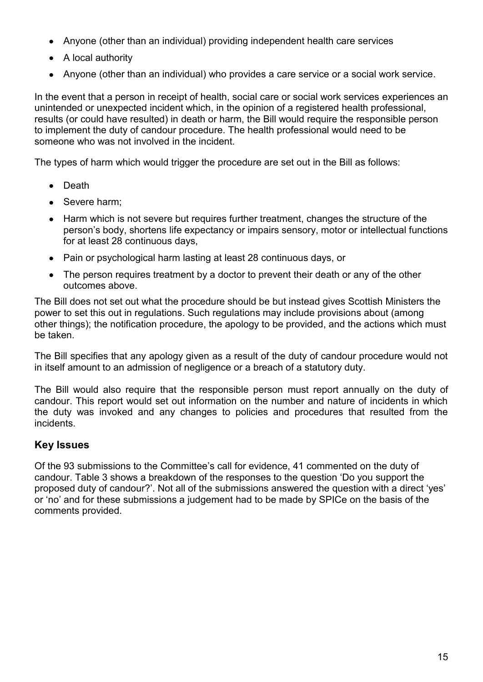- Anyone (other than an individual) providing independent health care services
- A local authority
- Anyone (other than an individual) who provides a care service or a social work service.

In the event that a person in receipt of health, social care or social work services experiences an unintended or unexpected incident which, in the opinion of a registered health professional, results (or could have resulted) in death or harm, the Bill would require the responsible person to implement the duty of candour procedure. The health professional would need to be someone who was not involved in the incident.

The types of harm which would trigger the procedure are set out in the Bill as follows:

- Death
- Severe harm:
- Harm which is not severe but requires further treatment, changes the structure of the person's body, shortens life expectancy or impairs sensory, motor or intellectual functions for at least 28 continuous days,
- Pain or psychological harm lasting at least 28 continuous days, or
- The person requires treatment by a doctor to prevent their death or any of the other outcomes above.

The Bill does not set out what the procedure should be but instead gives Scottish Ministers the power to set this out in regulations. Such regulations may include provisions about (among other things); the notification procedure, the apology to be provided, and the actions which must be taken.

The Bill specifies that any apology given as a result of the duty of candour procedure would not in itself amount to an admission of negligence or a breach of a statutory duty.

The Bill would also require that the responsible person must report annually on the duty of candour. This report would set out information on the number and nature of incidents in which the duty was invoked and any changes to policies and procedures that resulted from the incidents.

# <span id="page-14-0"></span>**Key Issues**

Of the 93 submissions to the Committee's call for evidence, 41 commented on the duty of candour. Table 3 shows a breakdown of the responses to the question 'Do you support the proposed duty of candour?'. Not all of the submissions answered the question with a direct 'yes' or 'no' and for these submissions a judgement had to be made by SPICe on the basis of the comments provided.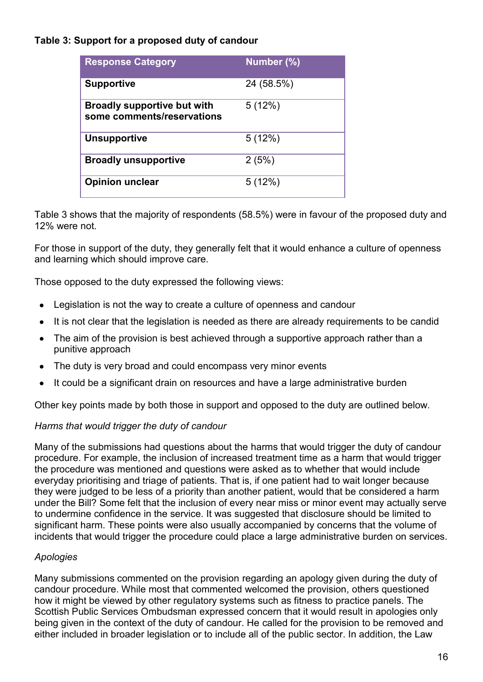### **Table 3: Support for a proposed duty of candour**

| <b>Response Category</b>                                         | Number (%) |
|------------------------------------------------------------------|------------|
| <b>Supportive</b>                                                | 24 (58.5%) |
| <b>Broadly supportive but with</b><br>some comments/reservations | 5(12%)     |
| <b>Unsupportive</b>                                              | 5(12%)     |
| <b>Broadly unsupportive</b>                                      | 2(5%)      |
| <b>Opinion unclear</b>                                           | 5(12%)     |

Table 3 shows that the majority of respondents (58.5%) were in favour of the proposed duty and 12% were not.

For those in support of the duty, they generally felt that it would enhance a culture of openness and learning which should improve care.

Those opposed to the duty expressed the following views:

- Legislation is not the way to create a culture of openness and candour
- It is not clear that the legislation is needed as there are already requirements to be candid
- The aim of the provision is best achieved through a supportive approach rather than a punitive approach
- The duty is very broad and could encompass very minor events
- It could be a significant drain on resources and have a large administrative burden

Other key points made by both those in support and opposed to the duty are outlined below.

#### *Harms that would trigger the duty of candour*

Many of the submissions had questions about the harms that would trigger the duty of candour procedure. For example, the inclusion of increased treatment time as a harm that would trigger the procedure was mentioned and questions were asked as to whether that would include everyday prioritising and triage of patients. That is, if one patient had to wait longer because they were judged to be less of a priority than another patient, would that be considered a harm under the Bill? Some felt that the inclusion of every near miss or minor event may actually serve to undermine confidence in the service. It was suggested that disclosure should be limited to significant harm. These points were also usually accompanied by concerns that the volume of incidents that would trigger the procedure could place a large administrative burden on services.

#### *Apologies*

Many submissions commented on the provision regarding an apology given during the duty of candour procedure. While most that commented welcomed the provision, others questioned how it might be viewed by other regulatory systems such as fitness to practice panels. The Scottish Public Services Ombudsman expressed concern that it would result in apologies only being given in the context of the duty of candour. He called for the provision to be removed and either included in broader legislation or to include all of the public sector. In addition, the Law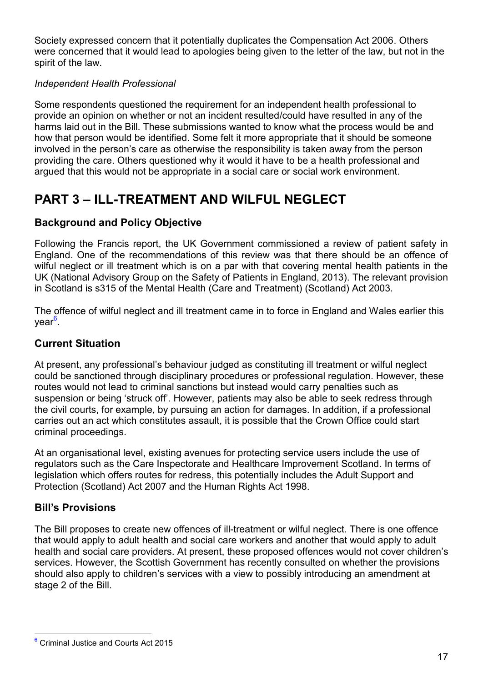Society expressed concern that it potentially duplicates the Compensation Act 2006. Others were concerned that it would lead to apologies being given to the letter of the law, but not in the spirit of the law.

## *Independent Health Professional*

Some respondents questioned the requirement for an independent health professional to provide an opinion on whether or not an incident resulted/could have resulted in any of the harms laid out in the Bill. These submissions wanted to know what the process would be and how that person would be identified. Some felt it more appropriate that it should be someone involved in the person's care as otherwise the responsibility is taken away from the person providing the care. Others questioned why it would it have to be a health professional and argued that this would not be appropriate in a social care or social work environment.

# <span id="page-16-0"></span>**PART 3 – ILL-TREATMENT AND WILFUL NEGLECT**

# <span id="page-16-1"></span>**Background and Policy Objective**

Following the Francis report, the UK Government commissioned a review of patient safety in England. One of the recommendations of this review was that there should be an offence of wilful neglect or ill treatment which is on a par with that covering mental health patients in the UK (National Advisory Group on the Safety of Patients in England, 2013). The relevant provision in Scotland is s315 of the Mental Health (Care and Treatment) (Scotland) Act 2003.

The offence of wilful neglect and ill treatment came in to force in England and Wales earlier this year<sup>6</sup>.

# <span id="page-16-2"></span>**Current Situation**

At present, any professional's behaviour judged as constituting ill treatment or wilful neglect could be sanctioned through disciplinary procedures or professional regulation. However, these routes would not lead to criminal sanctions but instead would carry penalties such as suspension or being 'struck off'. However, patients may also be able to seek redress through the civil courts, for example, by pursuing an action for damages. In addition, if a professional carries out an act which constitutes assault, it is possible that the Crown Office could start criminal proceedings.

At an organisational level, existing avenues for protecting service users include the use of regulators such as the Care Inspectorate and Healthcare Improvement Scotland. In terms of legislation which offers routes for redress, this potentially includes the Adult Support and Protection (Scotland) Act 2007 and the Human Rights Act 1998.

# <span id="page-16-3"></span>**Bill's Provisions**

 $\overline{a}$ 

The Bill proposes to create new offences of ill-treatment or wilful neglect. There is one offence that would apply to adult health and social care workers and another that would apply to adult health and social care providers. At present, these proposed offences would not cover children's services. However, the Scottish Government has recently consulted on whether the provisions should also apply to children's services with a view to possibly introducing an amendment at stage 2 of the Bill.

<sup>6</sup> Criminal Justice and Courts Act 2015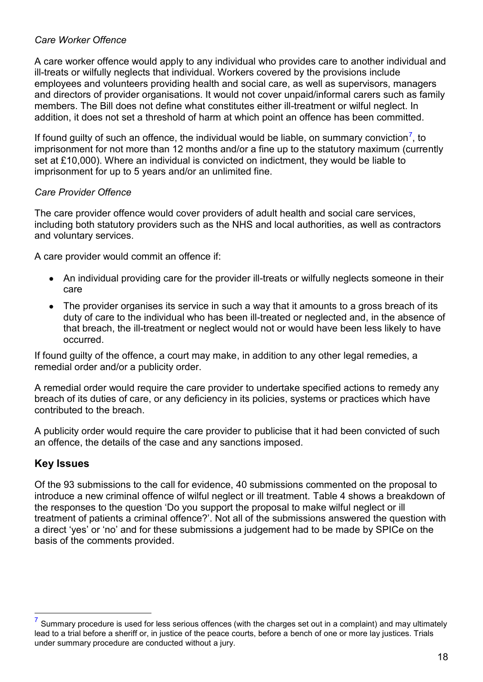#### *Care Worker Offence*

A care worker offence would apply to any individual who provides care to another individual and ill-treats or wilfully neglects that individual. Workers covered by the provisions include employees and volunteers providing health and social care, as well as supervisors, managers and directors of provider organisations. It would not cover unpaid/informal carers such as family members. The Bill does not define what constitutes either ill-treatment or wilful neglect. In addition, it does not set a threshold of harm at which point an offence has been committed.

If found guilty of such an offence, the individual would be liable, on summary conviction<sup>7</sup>, to imprisonment for not more than 12 months and/or a fine up to the statutory maximum (currently set at £10,000). Where an individual is convicted on indictment, they would be liable to imprisonment for up to 5 years and/or an unlimited fine.

#### *Care Provider Offence*

The care provider offence would cover providers of adult health and social care services, including both statutory providers such as the NHS and local authorities, as well as contractors and voluntary services.

A care provider would commit an offence if:

- An individual providing care for the provider ill-treats or wilfully neglects someone in their care
- The provider organises its service in such a way that it amounts to a gross breach of its duty of care to the individual who has been ill-treated or neglected and, in the absence of that breach, the ill-treatment or neglect would not or would have been less likely to have occurred.

If found guilty of the offence, a court may make, in addition to any other legal remedies, a remedial order and/or a publicity order.

A remedial order would require the care provider to undertake specified actions to remedy any breach of its duties of care, or any deficiency in its policies, systems or practices which have contributed to the breach.

A publicity order would require the care provider to publicise that it had been convicted of such an offence, the details of the case and any sanctions imposed.

# <span id="page-17-0"></span>**Key Issues**

l

Of the 93 submissions to the call for evidence, 40 submissions commented on the proposal to introduce a new criminal offence of wilful neglect or ill treatment. Table 4 shows a breakdown of the responses to the question 'Do you support the proposal to make wilful neglect or ill treatment of patients a criminal offence?'. Not all of the submissions answered the question with a direct 'yes' or 'no' and for these submissions a judgement had to be made by SPICe on the basis of the comments provided.

<sup>7</sup> Summary procedure is used for less serious offences (with the charges set out in a complaint) and may ultimately lead to a trial before a sheriff or, in justice of the peace courts, before a bench of one or more lay justices. Trials under summary procedure are conducted without a jury.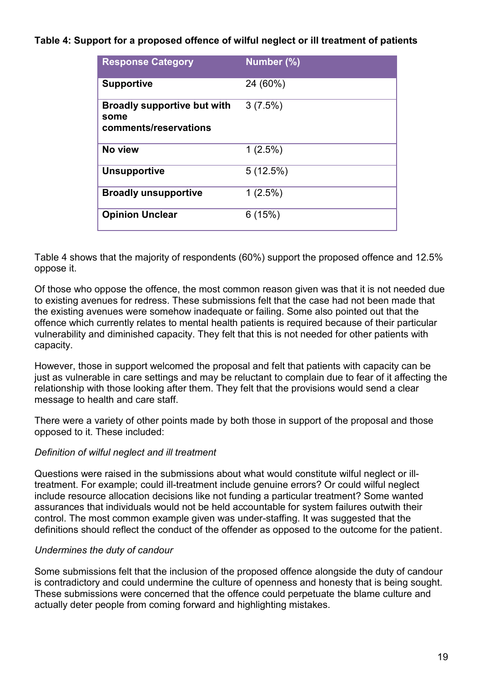#### **Table 4: Support for a proposed offence of wilful neglect or ill treatment of patients**

| <b>Response Category</b>                                            | Number $(\%)$ |
|---------------------------------------------------------------------|---------------|
| <b>Supportive</b>                                                   | 24 (60%)      |
| <b>Broadly supportive but with</b><br>some<br>comments/reservations | 3(7.5%)       |
| No view                                                             | 1(2.5%)       |
| <b>Unsupportive</b>                                                 | 5(12.5%)      |
| <b>Broadly unsupportive</b>                                         | 1(2.5%)       |
| <b>Opinion Unclear</b>                                              | 6(15%)        |

Table 4 shows that the majority of respondents (60%) support the proposed offence and 12.5% oppose it.

Of those who oppose the offence, the most common reason given was that it is not needed due to existing avenues for redress. These submissions felt that the case had not been made that the existing avenues were somehow inadequate or failing. Some also pointed out that the offence which currently relates to mental health patients is required because of their particular vulnerability and diminished capacity. They felt that this is not needed for other patients with capacity.

However, those in support welcomed the proposal and felt that patients with capacity can be just as vulnerable in care settings and may be reluctant to complain due to fear of it affecting the relationship with those looking after them. They felt that the provisions would send a clear message to health and care staff.

There were a variety of other points made by both those in support of the proposal and those opposed to it. These included:

#### *Definition of wilful neglect and ill treatment*

Questions were raised in the submissions about what would constitute wilful neglect or illtreatment. For example; could ill-treatment include genuine errors? Or could wilful neglect include resource allocation decisions like not funding a particular treatment? Some wanted assurances that individuals would not be held accountable for system failures outwith their control. The most common example given was under-staffing. It was suggested that the definitions should reflect the conduct of the offender as opposed to the outcome for the patient.

#### *Undermines the duty of candour*

Some submissions felt that the inclusion of the proposed offence alongside the duty of candour is contradictory and could undermine the culture of openness and honesty that is being sought. These submissions were concerned that the offence could perpetuate the blame culture and actually deter people from coming forward and highlighting mistakes.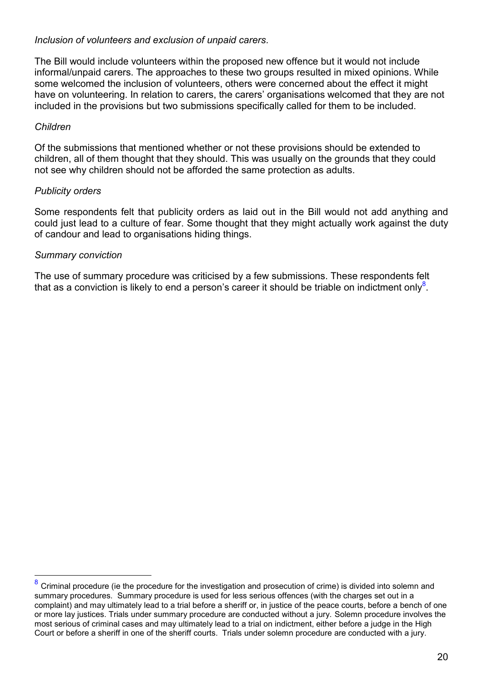#### *Inclusion of volunteers and exclusion of unpaid carers.*

The Bill would include volunteers within the proposed new offence but it would not include informal/unpaid carers. The approaches to these two groups resulted in mixed opinions. While some welcomed the inclusion of volunteers, others were concerned about the effect it might have on volunteering. In relation to carers, the carers' organisations welcomed that they are not included in the provisions but two submissions specifically called for them to be included.

#### *Children*

Of the submissions that mentioned whether or not these provisions should be extended to children, all of them thought that they should. This was usually on the grounds that they could not see why children should not be afforded the same protection as adults.

#### *Publicity orders*

Some respondents felt that publicity orders as laid out in the Bill would not add anything and could just lead to a culture of fear. Some thought that they might actually work against the duty of candour and lead to organisations hiding things.

#### *Summary conviction*

l

The use of summary procedure was criticised by a few submissions. These respondents felt that as a conviction is likely to end a person's career it should be triable on indictment only<sup>8</sup>.

<sup>8</sup> Criminal procedure (ie the procedure for the investigation and prosecution of crime) is divided into solemn and summary procedures. Summary procedure is used for less serious offences (with the charges set out in a complaint) and may ultimately lead to a trial before a sheriff or, in justice of the peace courts, before a bench of one or more lay justices. Trials under summary procedure are conducted without a jury. Solemn procedure involves the most serious of criminal cases and may ultimately lead to a trial on indictment, either before a judge in the High Court or before a sheriff in one of the sheriff courts. Trials under solemn procedure are conducted with a jury.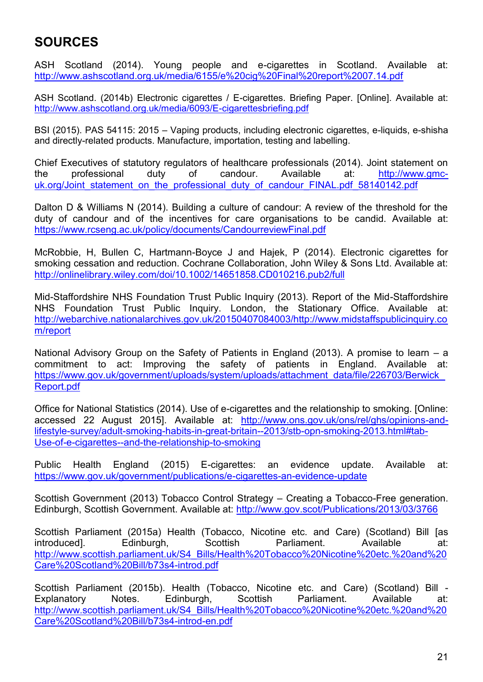# <span id="page-20-0"></span>**SOURCES**

ASH Scotland (2014). Young people and e-cigarettes in Scotland. Available at: <http://www.ashscotland.org.uk/media/6155/e%20cig%20Final%20report%2007.14.pdf>

ASH Scotland. (2014b) Electronic cigarettes / E-cigarettes. Briefing Paper. [Online]. Available at: <http://www.ashscotland.org.uk/media/6093/E-cigarettesbriefing.pdf>

BSI (2015). PAS 54115: 2015 – Vaping products, including electronic cigarettes, e-liquids, e-shisha and directly-related products. Manufacture, importation, testing and labelling.

Chief Executives of statutory regulators of healthcare professionals (2014). Joint statement on the professional duty of candour. Available at: [http://www.gmc](http://www.gmc-uk.org/Joint_statement_on_the_professional_duty_of_candour_FINAL.pdf_58140142.pdf)uk.org/Joint statement on the professional duty of candour FINAL.pdf 58140142.pdf

Dalton D & Williams N (2014). Building a culture of candour: A review of the threshold for the duty of candour and of the incentives for care organisations to be candid. Available at: <https://www.rcseng.ac.uk/policy/documents/CandourreviewFinal.pdf>

McRobbie, H, Bullen C, Hartmann-Boyce J and Hajek, P (2014). Electronic cigarettes for smoking cessation and reduction. Cochrane Collaboration, John Wiley & Sons Ltd. Available at: <http://onlinelibrary.wiley.com/doi/10.1002/14651858.CD010216.pub2/full>

Mid-Staffordshire NHS Foundation Trust Public Inquiry (2013). Report of the Mid-Staffordshire NHS Foundation Trust Public Inquiry. London, the Stationary Office. Available at: [http://webarchive.nationalarchives.gov.uk/20150407084003/http://www.midstaffspublicinquiry.co](http://webarchive.nationalarchives.gov.uk/20150407084003/http:/www.midstaffspublicinquiry.com/report) [m/report](http://webarchive.nationalarchives.gov.uk/20150407084003/http:/www.midstaffspublicinquiry.com/report)

National Advisory Group on the Safety of Patients in England (2013). A promise to learn – a commitment to act: Improving the safety of patients in England. Available at: [https://www.gov.uk/government/uploads/system/uploads/attachment\\_data/file/226703/Berwick\\_](https://www.gov.uk/government/uploads/system/uploads/attachment_data/file/226703/Berwick_Report.pdf) [Report.pdf](https://www.gov.uk/government/uploads/system/uploads/attachment_data/file/226703/Berwick_Report.pdf)

Office for National Statistics (2014). Use of e-cigarettes and the relationship to smoking. [Online: accessed 22 August 2015]. Available at: [http://www.ons.gov.uk/ons/rel/ghs/opinions-and](http://www.ons.gov.uk/ons/rel/ghs/opinions-and-lifestyle-survey/adult-smoking-habits-in-great-britain--2013/stb-opn-smoking-2013.html#tab-Use-of-e-cigarettes--and-the-relationship-to-smoking)[lifestyle-survey/adult-smoking-habits-in-great-britain--2013/stb-opn-smoking-2013.html#tab-](http://www.ons.gov.uk/ons/rel/ghs/opinions-and-lifestyle-survey/adult-smoking-habits-in-great-britain--2013/stb-opn-smoking-2013.html#tab-Use-of-e-cigarettes--and-the-relationship-to-smoking)[Use-of-e-cigarettes--and-the-relationship-to-smoking](http://www.ons.gov.uk/ons/rel/ghs/opinions-and-lifestyle-survey/adult-smoking-habits-in-great-britain--2013/stb-opn-smoking-2013.html#tab-Use-of-e-cigarettes--and-the-relationship-to-smoking)

Public Health England (2015) E-cigarettes: an evidence update. Available at: <https://www.gov.uk/government/publications/e-cigarettes-an-evidence-update>

Scottish Government (2013) Tobacco Control Strategy – Creating a Tobacco-Free generation. Edinburgh, Scottish Government. Available at:<http://www.gov.scot/Publications/2013/03/3766>

Scottish Parliament (2015a) Health (Tobacco, Nicotine etc. and Care) (Scotland) Bill [as introduced]. Edinburgh, Scottish Parliament. Available at: [http://www.scottish.parliament.uk/S4\\_Bills/Health%20Tobacco%20Nicotine%20etc.%20and%20](http://www.scottish.parliament.uk/S4_Bills/Health%20Tobacco%20Nicotine%20etc.%20and%20Care%20Scotland%20Bill/b73s4-introd.pdf) [Care%20Scotland%20Bill/b73s4-introd.pdf](http://www.scottish.parliament.uk/S4_Bills/Health%20Tobacco%20Nicotine%20etc.%20and%20Care%20Scotland%20Bill/b73s4-introd.pdf)

Scottish Parliament (2015b). Health (Tobacco, Nicotine etc. and Care) (Scotland) Bill -Explanatory Notes. Edinburgh, Scottish Parliament. Available at: [http://www.scottish.parliament.uk/S4\\_Bills/Health%20Tobacco%20Nicotine%20etc.%20and%20](http://www.scottish.parliament.uk/S4_Bills/Health%20Tobacco%20Nicotine%20etc.%20and%20Care%20Scotland%20Bill/b73s4-introd-en.pdf) [Care%20Scotland%20Bill/b73s4-introd-en.pdf](http://www.scottish.parliament.uk/S4_Bills/Health%20Tobacco%20Nicotine%20etc.%20and%20Care%20Scotland%20Bill/b73s4-introd-en.pdf)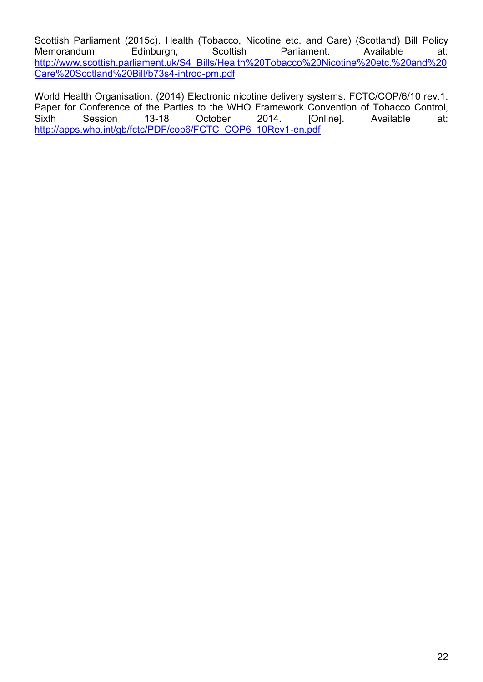Scottish Parliament (2015c). Health (Tobacco, Nicotine etc. and Care) (Scotland) Bill Policy<br>Memorandum. Edinburgh. Scottish Parliament. Available at: Memorandum. Edinburgh, Scottish Parliament. Available at: [http://www.scottish.parliament.uk/S4\\_Bills/Health%20Tobacco%20Nicotine%20etc.%20and%20](http://www.scottish.parliament.uk/S4_Bills/Health%20Tobacco%20Nicotine%20etc.%20and%20Care%20Scotland%20Bill/b73s4-introd-pm.pdf) [Care%20Scotland%20Bill/b73s4-introd-pm.pdf](http://www.scottish.parliament.uk/S4_Bills/Health%20Tobacco%20Nicotine%20etc.%20and%20Care%20Scotland%20Bill/b73s4-introd-pm.pdf)

World Health Organisation. (2014) Electronic nicotine delivery systems. FCTC/COP/6/10 rev.1. Paper for Conference of the Parties to the WHO Framework Convention of Tobacco Control, Sixth Session 13-18 October 2014. [Online]. Available at: [http://apps.who.int/gb/fctc/PDF/cop6/FCTC\\_COP6\\_10Rev1-en.pdf](http://apps.who.int/gb/fctc/PDF/cop6/FCTC_COP6_10Rev1-en.pdf)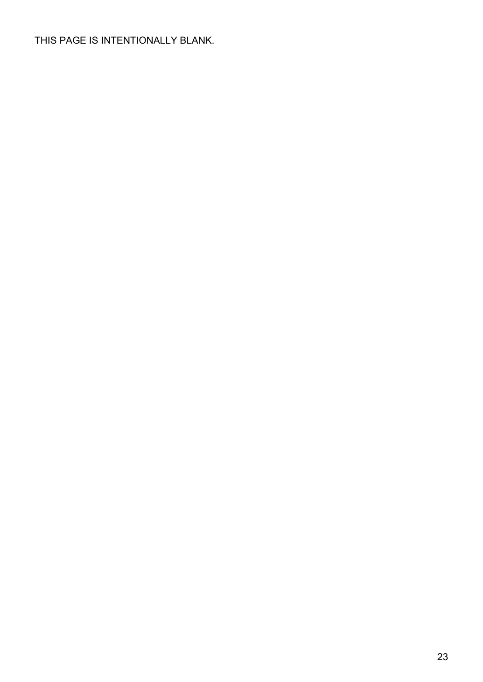THIS PAGE IS INTENTIONALLY BLANK.